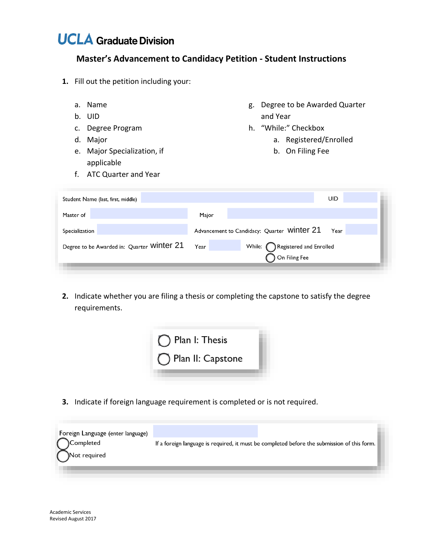## **UC LA Graduate Division**

## **Master's Advancement to Candidacy Petition - Student Instructions**

- **1.** Fill out the petition including your:
	-
	-
	-
	-
	- e. Major Specialization, if b. On Filing Fee applicable
	- f. ATC Quarter and Year
	- a. Name **g.** Degree to be Awarded Quarter b. UID and Year
	- c. Degree Program h. "While:" Checkbox
	- d. Major and the contract of the contract of the contract of the contract of the contract of the contract of the contract of the contract of the contract of the contract of the contract of the contract of the contract of t
		-

| Student Name (last, first, middle)         |                                             | UID                            |  |
|--------------------------------------------|---------------------------------------------|--------------------------------|--|
| Master of                                  | Major                                       |                                |  |
| Specialization                             | Advancement to Candidacy: Quarter Winter 21 | Year                           |  |
| Degree to be Awarded in: Quarter Winter 21 | Year                                        | While: Registered and Enrolled |  |
|                                            | $\sum$ On Filing Fee                        |                                |  |
|                                            |                                             |                                |  |

**2.** Indicate whether you are filing a thesis or completing the capstone to satisfy the degree requirements.



**3.** Indicate if foreign language requirement is completed or is not required.